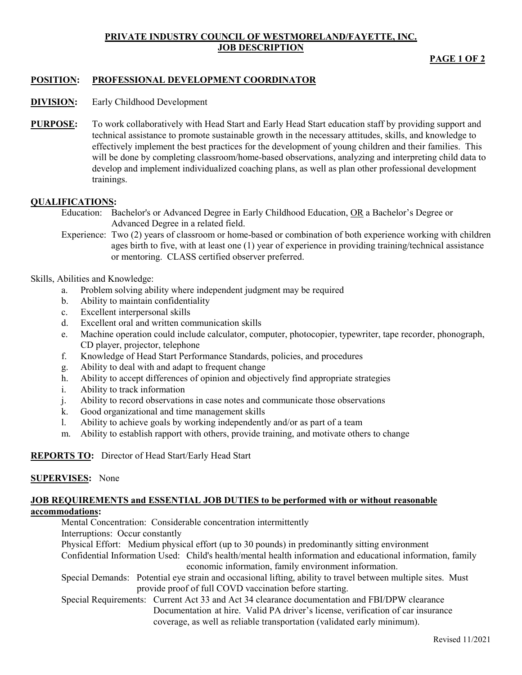## **PRIVATE INDUSTRY COUNCIL OF WESTMORELAND/FAYETTE, INC. JOB DESCRIPTION**

**PAGE 1 OF 2**

# **POSITION: PROFESSIONAL DEVELOPMENT COORDINATOR**

- **DIVISION:** Early Childhood Development
- **PURPOSE:** To work collaboratively with Head Start and Early Head Start education staff by providing support and technical assistance to promote sustainable growth in the necessary attitudes, skills, and knowledge to effectively implement the best practices for the development of young children and their families. This will be done by completing classroom/home-based observations, analyzing and interpreting child data to develop and implement individualized coaching plans, as well as plan other professional development trainings.

### **QUALIFICATIONS:**

- Education: Bachelor's or Advanced Degree in Early Childhood Education, OR a Bachelor's Degree or Advanced Degree in a related field.
- Experience: Two (2) years of classroom or home-based or combination of both experience working with children ages birth to five, with at least one (1) year of experience in providing training/technical assistance or mentoring. CLASS certified observer preferred.

### Skills, Abilities and Knowledge:

- a. Problem solving ability where independent judgment may be required
- b. Ability to maintain confidentiality
- c. Excellent interpersonal skills
- d. Excellent oral and written communication skills
- e. Machine operation could include calculator, computer, photocopier, typewriter, tape recorder, phonograph, CD player, projector, telephone
- f. Knowledge of Head Start Performance Standards, policies, and procedures
- g. Ability to deal with and adapt to frequent change
- h. Ability to accept differences of opinion and objectively find appropriate strategies
- i. Ability to track information
- j. Ability to record observations in case notes and communicate those observations
- k. Good organizational and time management skills
- l. Ability to achieve goals by working independently and/or as part of a team
- m. Ability to establish rapport with others, provide training, and motivate others to change

**REPORTS TO:** Director of Head Start/Early Head Start

### **SUPERVISES:** None

### **JOB REQUIREMENTS and ESSENTIAL JOB DUTIES to be performed with or without reasonable accommodations:**

Mental Concentration: Considerable concentration intermittently

Interruptions: Occur constantly

Physical Effort: Medium physical effort (up to 30 pounds) in predominantly sitting environment

Confidential Information Used: Child's health/mental health information and educational information, family economic information, family environment information.

- Special Demands: Potential eye strain and occasional lifting, ability to travel between multiple sites. Must provide proof of full COVD vaccination before starting.
- Special Requirements: Current Act 33 and Act 34 clearance documentation and FBI/DPW clearance Documentation at hire. Valid PA driver's license, verification of car insurance coverage, as well as reliable transportation (validated early minimum).